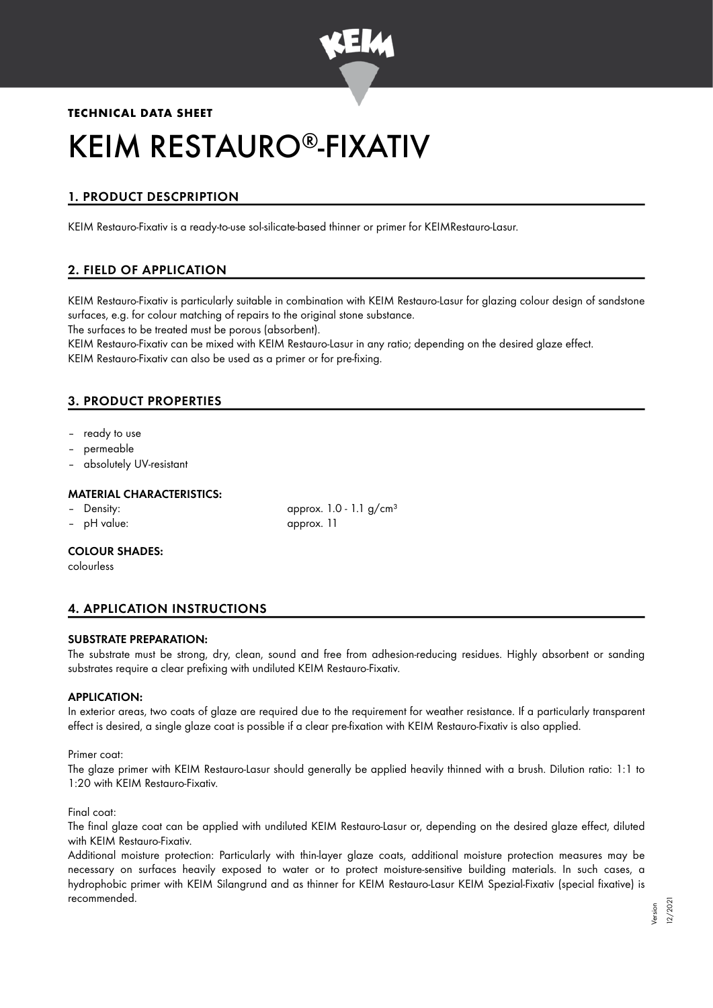

# **TECHNICAL DATA SHEET**

# KEIM RESTAURO®-FIXATIV

# 1. PRODUCT DESCPRIPTION

KEIM Restauro-Fixativ is a ready-to-use sol-silicate-based thinner or primer for KEIMRestauro-Lasur.

# 2. FIELD OF APPLICATION

KEIM Restauro-Fixativ is particularly suitable in combination with KEIM Restauro-Lasur for glazing colour design of sandstone surfaces, e.g. for colour matching of repairs to the original stone substance.

The surfaces to be treated must be porous (absorbent).

KEIM Restauro-Fixativ can be mixed with KEIM Restauro-Lasur in any ratio; depending on the desired glaze effect. KEIM Restauro-Fixativ can also be used as a primer or for pre-fixing.

# 3. PRODUCT PROPERTIES

- ready to use
- permeable
- absolutely UV-resistant

## MATERIAL CHARACTERISTICS:

- 
- 

Density:  $\qquad \qquad \text{approx. 1.0 - 1.1 g/cm<sup>3</sup>}$ – pH value: approx. 11

#### COLOUR SHADES:

colourless

# 4. APPLICATION INSTRUCTIONS

#### SUBSTRATE PREPARATION:

The substrate must be strong, dry, clean, sound and free from adhesion-reducing residues. Highly absorbent or sanding substrates require a clear prefixing with undiluted KEIM Restauro-Fixativ.

#### APPLICATION:

In exterior areas, two coats of glaze are required due to the requirement for weather resistance. If a particularly transparent effect is desired, a single glaze coat is possible if a clear pre-fixation with KEIM Restauro-Fixativ is also applied.

#### Primer coat:

The glaze primer with KEIM Restauro-Lasur should generally be applied heavily thinned with a brush. Dilution ratio: 1:1 to 1:20 with KEIM Restauro-Fixativ.

#### Final coat:

The final glaze coat can be applied with undiluted KEIM Restauro-Lasur or, depending on the desired glaze effect, diluted with KEIM Restauro-Fixativ.

Additional moisture protection: Particularly with thin-layer glaze coats, additional moisture protection measures may be necessary on surfaces heavily exposed to water or to protect moisture-sensitive building materials. In such cases, a hydrophobic primer with KEIM Silangrund and as thinner for KEIM Restauro-Lasur KEIM Spezial-Fixativ (special fixative) is recommended.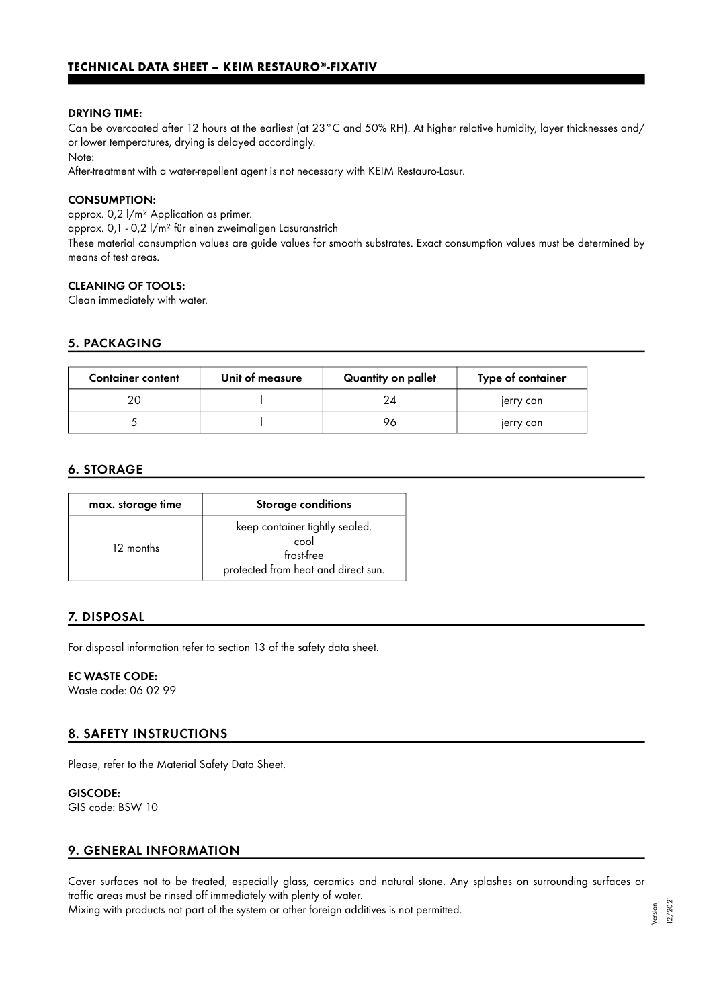#### DRYING TIME:

Can be overcoated after 12 hours at the earliest (at 23°C and 50% RH). At higher relative humidity, layer thicknesses and/ or lower temperatures, drying is delayed accordingly.

Note:

After-treatment with a water-repellent agent is not necessary with KEIM Restauro-Lasur.

#### CONSUMPTION:

approx. 0,2 l/m² Application as primer.

approx. 0,1 - 0,2 l/m² für einen zweimaligen Lasuranstrich

These material consumption values are guide values for smooth substrates. Exact consumption values must be determined by means of test areas.

#### CLEANING OF TOOLS:

Clean immediately with water.

## 5. PACKAGING

| <b>Container content</b> | Unit of measure | Quantity on pallet | Type of container |
|--------------------------|-----------------|--------------------|-------------------|
| 20                       |                 |                    | jerry can         |
|                          |                 | 96                 | jerry can         |

# 6. STORAGE

| max. storage time | <b>Storage conditions</b>                                                                   |
|-------------------|---------------------------------------------------------------------------------------------|
| 12 months         | keep container tightly sealed.<br>cool<br>frost-free<br>protected from heat and direct sun. |

# 7. DISPOSAL

For disposal information refer to section 13 of the safety data sheet.

## EC WASTE CODE:

Waste code: 06 02 99

# 8. SAFETY INSTRUCTIONS

Please, refer to the Material Safety Data Sheet.

#### GISCODE:

GIS code: BSW 10

# 9. GENERAL INFORMATION

Cover surfaces not to be treated, especially glass, ceramics and natural stone. Any splashes on surrounding surfaces or traffic areas must be rinsed off immediately with plenty of water.

Mixing with products not part of the system or other foreign additives is not permitted.